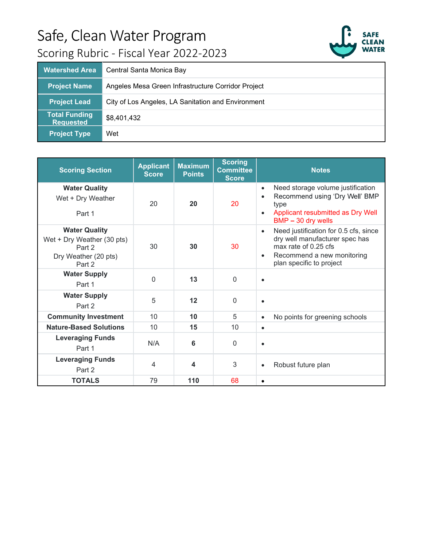

| <b>Watershed Area</b>                    | Central Santa Monica Bay                           |
|------------------------------------------|----------------------------------------------------|
| <b>Project Name</b>                      | Angeles Mesa Green Infrastructure Corridor Project |
| <b>Project Lead</b>                      | City of Los Angeles, LA Sanitation and Environment |
| <b>Total Funding</b><br><b>Requested</b> | \$8,401,432                                        |
| <b>Project Type</b>                      | Wet                                                |

| <b>Scoring Section</b>                                                                         | <b>Applicant</b><br><b>Score</b> | <b>Maximum</b><br><b>Points</b> | <b>Scoring</b><br><b>Committee</b><br><b>Score</b> | <b>Notes</b>                                                                                                                                                                |
|------------------------------------------------------------------------------------------------|----------------------------------|---------------------------------|----------------------------------------------------|-----------------------------------------------------------------------------------------------------------------------------------------------------------------------------|
| <b>Water Quality</b><br>Wet + Dry Weather<br>Part 1                                            | 20                               | 20                              | 20                                                 | Need storage volume justification<br>٠<br>Recommend using 'Dry Well' BMP<br>$\bullet$<br>type<br>Applicant resubmitted as Dry Well<br>$\bullet$<br>BMP - 30 dry wells       |
| <b>Water Quality</b><br>Wet + Dry Weather (30 pts)<br>Part 2<br>Dry Weather (20 pts)<br>Part 2 | 30                               | 30                              | 30                                                 | Need justification for 0.5 cfs, since<br>$\bullet$<br>dry well manufacturer spec has<br>max rate of 0.25 cfs<br>Recommend a new monitoring<br>٠<br>plan specific to project |
| <b>Water Supply</b><br>Part 1                                                                  | $\Omega$                         | 13                              | $\Omega$                                           | $\bullet$                                                                                                                                                                   |
| <b>Water Supply</b><br>Part 2                                                                  | 5                                | 12                              | $\mathbf 0$                                        | $\bullet$                                                                                                                                                                   |
| <b>Community Investment</b>                                                                    | 10                               | 10                              | 5                                                  | No points for greening schools<br>٠                                                                                                                                         |
| <b>Nature-Based Solutions</b>                                                                  | 10                               | 15                              | 10                                                 | $\bullet$                                                                                                                                                                   |
| <b>Leveraging Funds</b><br>Part 1                                                              | N/A                              | 6                               | $\mathbf 0$                                        | $\bullet$                                                                                                                                                                   |
| <b>Leveraging Funds</b><br>Part 2                                                              | 4                                | 4                               | 3                                                  | Robust future plan<br>٠                                                                                                                                                     |
| <b>TOTALS</b>                                                                                  | 79                               | 110                             | 68                                                 | $\bullet$                                                                                                                                                                   |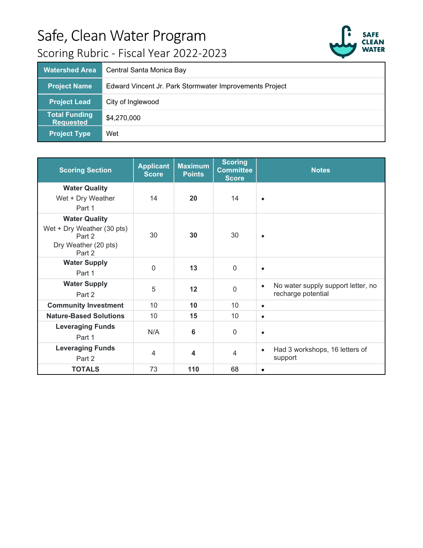

| <b>Watershed Area</b>                    | Central Santa Monica Bay                                |
|------------------------------------------|---------------------------------------------------------|
| <b>Project Name</b>                      | Edward Vincent Jr. Park Stormwater Improvements Project |
| <b>Project Lead</b>                      | City of Inglewood                                       |
| <b>Total Funding</b><br><b>Requested</b> | \$4,270,000                                             |
| <b>Project Type</b>                      | Wet                                                     |

| <b>Scoring Section</b>                                                                         | <b>Applicant</b><br><b>Score</b> | <b>Maximum</b><br><b>Points</b> | <b>Scoring</b><br><b>Committee</b><br><b>Score</b> | <b>Notes</b>                                                          |
|------------------------------------------------------------------------------------------------|----------------------------------|---------------------------------|----------------------------------------------------|-----------------------------------------------------------------------|
| <b>Water Quality</b><br>Wet + Dry Weather<br>Part 1                                            | 14                               | 20                              | 14                                                 | $\bullet$                                                             |
| <b>Water Quality</b><br>Wet + Dry Weather (30 pts)<br>Part 2<br>Dry Weather (20 pts)<br>Part 2 | 30                               | 30                              | 30                                                 |                                                                       |
| <b>Water Supply</b><br>Part 1                                                                  | 0                                | 13                              | $\overline{0}$                                     | $\bullet$                                                             |
| <b>Water Supply</b><br>Part 2                                                                  | 5                                | 12                              | $\mathbf 0$                                        | No water supply support letter, no<br>$\bullet$<br>recharge potential |
| <b>Community Investment</b>                                                                    | 10                               | 10                              | 10                                                 | $\bullet$                                                             |
| <b>Nature-Based Solutions</b>                                                                  | 10                               | 15                              | 10                                                 | $\bullet$                                                             |
| <b>Leveraging Funds</b><br>Part 1                                                              | N/A                              | 6                               | 0                                                  | $\bullet$                                                             |
| <b>Leveraging Funds</b><br>Part 2                                                              | $\overline{4}$                   | $\blacktriangle$                | 4                                                  | Had 3 workshops, 16 letters of<br>$\bullet$<br>support                |
| <b>TOTALS</b>                                                                                  | 73                               | 110                             | 68                                                 | ٠                                                                     |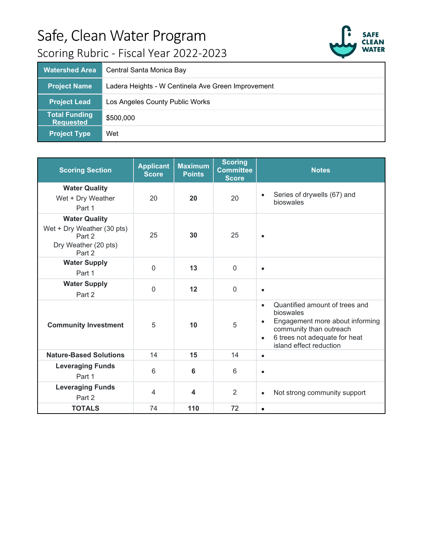

| <b>Watershed Area</b>                    | Central Santa Monica Bay                           |
|------------------------------------------|----------------------------------------------------|
| <b>Project Name</b>                      | Ladera Heights - W Centinela Ave Green Improvement |
| <b>Project Lead</b>                      | Los Angeles County Public Works                    |
| <b>Total Funding</b><br><b>Requested</b> | \$500,000                                          |
| <b>Project Type</b>                      | Wet                                                |

| <b>Scoring Section</b>                                                                         | <b>Applicant</b><br><b>Score</b> | <b>Maximum</b><br><b>Points</b> | <b>Scoring</b><br><b>Committee</b><br><b>Score</b> | <b>Notes</b>                                                                                                                                                                                                 |
|------------------------------------------------------------------------------------------------|----------------------------------|---------------------------------|----------------------------------------------------|--------------------------------------------------------------------------------------------------------------------------------------------------------------------------------------------------------------|
| <b>Water Quality</b><br>Wet + Dry Weather<br>Part 1                                            | 20                               | 20                              | 20                                                 | Series of drywells (67) and<br>$\bullet$<br>bioswales                                                                                                                                                        |
| <b>Water Quality</b><br>Wet + Dry Weather (30 pts)<br>Part 2<br>Dry Weather (20 pts)<br>Part 2 | 25                               | 30                              | 25                                                 | $\bullet$                                                                                                                                                                                                    |
| <b>Water Supply</b><br>Part 1                                                                  | $\Omega$                         | 13                              | $\Omega$                                           | $\bullet$                                                                                                                                                                                                    |
| <b>Water Supply</b><br>Part 2                                                                  | $\overline{0}$                   | 12                              | $\mathbf 0$                                        | $\bullet$                                                                                                                                                                                                    |
| <b>Community Investment</b>                                                                    | 5                                | 10                              | 5                                                  | Quantified amount of trees and<br>$\bullet$<br>bioswales<br>Engagement more about informing<br>$\bullet$<br>community than outreach<br>6 trees not adequate for heat<br>$\bullet$<br>island effect reduction |
| <b>Nature-Based Solutions</b>                                                                  | 14                               | 15                              | 14                                                 | $\bullet$                                                                                                                                                                                                    |
| <b>Leveraging Funds</b><br>Part 1                                                              | 6                                | 6                               | 6                                                  | $\bullet$                                                                                                                                                                                                    |
| <b>Leveraging Funds</b><br>Part 2                                                              | $\overline{4}$                   | 4                               | 2                                                  | Not strong community support<br>$\bullet$                                                                                                                                                                    |
| <b>TOTALS</b>                                                                                  | 74                               | 110                             | 72                                                 | $\bullet$                                                                                                                                                                                                    |